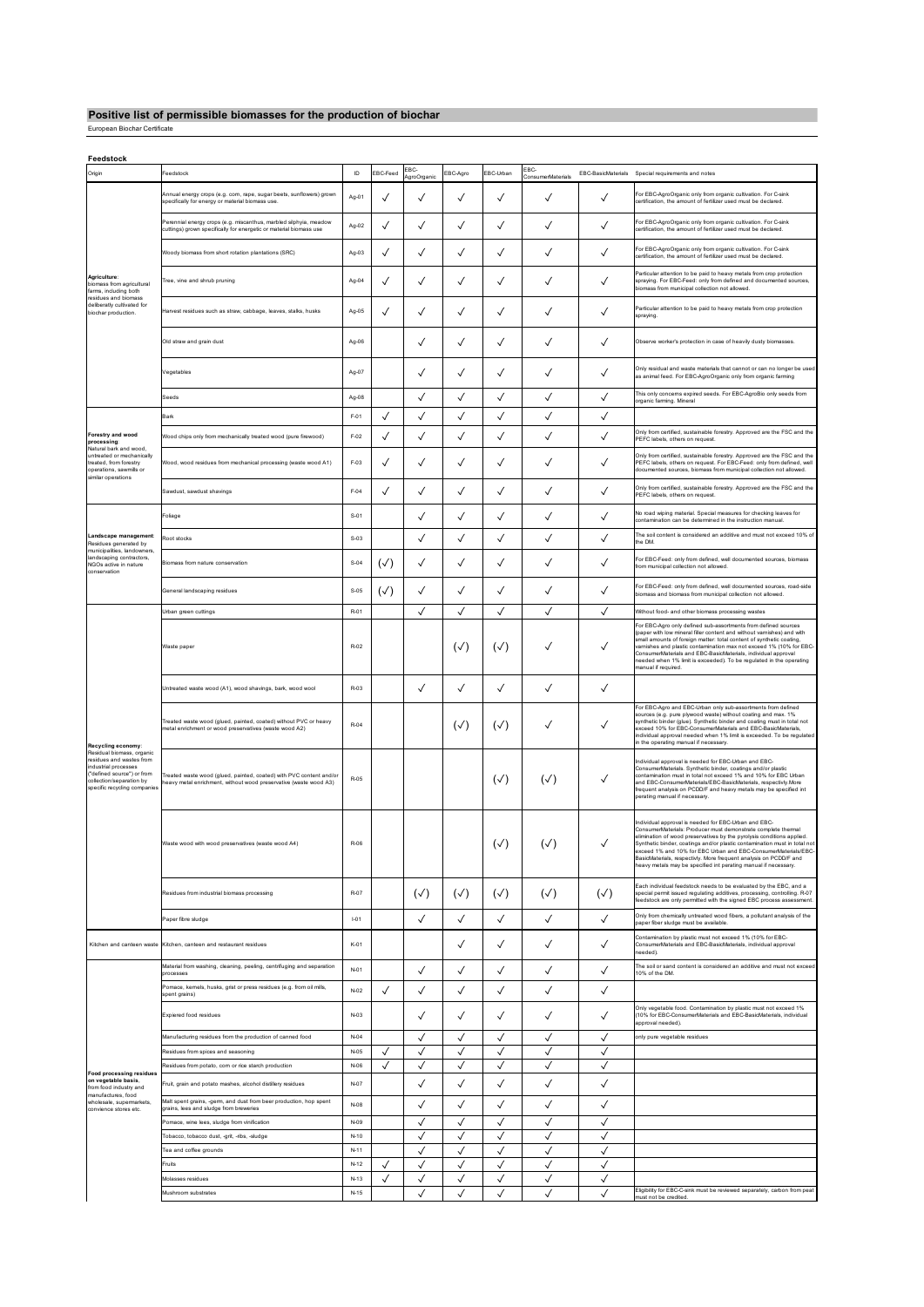## **Positive list of permissible biomasses for the production of biochar** European Biochar Certificate

| Feedstock                                                                                                                                                                                     |                                                                                                                                         |          |              |                     |              |                |                          |              |                                                                                                                                                                                                                                                                                                                                                                                                                                                                                        |
|-----------------------------------------------------------------------------------------------------------------------------------------------------------------------------------------------|-----------------------------------------------------------------------------------------------------------------------------------------|----------|--------------|---------------------|--------------|----------------|--------------------------|--------------|----------------------------------------------------------------------------------------------------------------------------------------------------------------------------------------------------------------------------------------------------------------------------------------------------------------------------------------------------------------------------------------------------------------------------------------------------------------------------------------|
| Origin                                                                                                                                                                                        | eedstock                                                                                                                                | ID       | EBC-Feed     | EBC-<br>AgroOrganic | EBC-Agro     | EBC-Urban      | EBC<br>ConsumerMaterials |              | EBC-BasicMaterials Special requirements and notes                                                                                                                                                                                                                                                                                                                                                                                                                                      |
| Agriculture:<br>biomass from agricultural<br>farms, including both<br>residues and biomass<br>deliberatly cultivated for<br>biochar production                                                | Annual energy crops (e.g. corn, rape, sugar beets, sunflowers) grown<br>specifically for energy or material biomass use.                | Ag-01    | ✓            | ✓                   | √            | ✓              | ✓                        | ✓            | For EBC-AgroOrganic only from organic cultivation. For C-sink<br>bertification, the amount of fertilizer used must be declared.                                                                                                                                                                                                                                                                                                                                                        |
|                                                                                                                                                                                               | Perennial energy crops (e.g. miscanthus, marbled silphyia, meadow<br>cuttings) grown specifically for energetic or material biomass use | Ag-02    | ✓            | ✓                   | ✓            | ✓              | ✓                        | ✓            | For EBC-AgroOrganic only from organic cultivation. For C-sink<br>certification, the amount of fertilizer used must be declared.                                                                                                                                                                                                                                                                                                                                                        |
|                                                                                                                                                                                               | Woody biomass from short rotation plantations (SRC)                                                                                     | Ag-03    | ✓            | ✓                   | ✓            | ✓              | ✓                        | ✓            | For EBC-AgroOrganic only from organic cultivation. For C-sink<br>certification, the amount of fertilizer used must be declared.                                                                                                                                                                                                                                                                                                                                                        |
|                                                                                                                                                                                               | Tree, vine and shrub pruning                                                                                                            | Ag-04    | ✓            | ✓                   | √            | $\checkmark$   | ✓                        | ✓            | Particular attention to be paid to heavy metals from crop protection<br>spraying. For EBC-Feed: only from defined and documented sources,<br>biomass from municipal collection not allowed.                                                                                                                                                                                                                                                                                            |
|                                                                                                                                                                                               | Harvest residues such as straw, cabbage, leaves, stalks, husks                                                                          | Ag-05    | $\checkmark$ | ✓                   | √            | ✓              | ✓                        | $\checkmark$ | Particular attention to be paid to heavy metals from crop protection<br>spraying.                                                                                                                                                                                                                                                                                                                                                                                                      |
|                                                                                                                                                                                               | Old straw and grain dust                                                                                                                | Ag-06    |              | ✓                   | ✓            | ✓              | ✓                        | √            | Observe worker's protection in case of heavily dusty biomasses.                                                                                                                                                                                                                                                                                                                                                                                                                        |
|                                                                                                                                                                                               | Vegetables                                                                                                                              | Ag-07    |              | ✓                   | ✓            | ✓              | ✓                        | √            | Only residual and waste materials that cannot or can no longer be used<br>as animal feed. For EBC-AgroOrganic only from organic farming                                                                                                                                                                                                                                                                                                                                                |
|                                                                                                                                                                                               | Seeds                                                                                                                                   | Ag-08    |              | ✓                   | √            | ✓              | √                        | ✓            | This only concerns expired seeds. For EBC-AgroBio only seeds from<br>organic farming. Mineral                                                                                                                                                                                                                                                                                                                                                                                          |
|                                                                                                                                                                                               | Bark                                                                                                                                    | F-01     | ✓            | ✓                   | √            | $\checkmark$   | ✓                        | ✓            |                                                                                                                                                                                                                                                                                                                                                                                                                                                                                        |
| Forestry and wood                                                                                                                                                                             | Wood chips only from mechanically treated wood (pure firewood)                                                                          | $F-02$   | $\checkmark$ | ✓                   | √            | $\checkmark$   | ✓                        | √            | Only from certified, sustainable forestry. Approved are the FSC and the                                                                                                                                                                                                                                                                                                                                                                                                                |
| processing:<br>Natural bark and wood.                                                                                                                                                         |                                                                                                                                         |          |              |                     |              |                |                          |              | PEFC labels, others on request.                                                                                                                                                                                                                                                                                                                                                                                                                                                        |
| untreated or mechanically<br>treated, from forestry<br>operations, sawmills or<br>similar operations                                                                                          | Wood, wood residues from mechanical processing (waste wood A1)                                                                          | F-03     | ✓            | ✓                   | √            | √              | ✓                        | √            | Only from certified, sustainable forestry. Approved are the FSC and the<br>PEFC labels, others on request. For EBC-Feed: only from defined, well<br>documented sources, biomass from municipal collection not allowed.                                                                                                                                                                                                                                                                 |
|                                                                                                                                                                                               | Sawdust, sawdust shavings                                                                                                               | F-04     | $\checkmark$ | ✓                   | ✓            | $\checkmark$   | ✓                        | ✓            | Only from certified, sustainable forestry. Approved are the FSC and the<br>PEFC labels, others on request.                                                                                                                                                                                                                                                                                                                                                                             |
|                                                                                                                                                                                               | Foliage                                                                                                                                 | $S-01$   |              | ✓                   | √            | $\checkmark$   | ✓                        | $\checkmark$ | No road wiping material. Special measures for checking leaves for<br>contamination can be determined in the instruction manual.                                                                                                                                                                                                                                                                                                                                                        |
| Landscape management:<br>Residues generated by                                                                                                                                                | Root stocks                                                                                                                             | $S-03$   |              | ✓                   | √            | ✓              | ✓                        | ✓            | The soil content is considered an additive and must not exceed 10% of<br>the DM                                                                                                                                                                                                                                                                                                                                                                                                        |
| municipalities, landowners,<br>landscaping contractors,<br>NGOs active in nature<br>conservation                                                                                              | Biomass from nature conservation                                                                                                        | $S-04$   | (√)          | ✓                   | ✓            | ✓              | ✓                        | $\checkmark$ | For EBC-Feed: only from defined, well documented sources, biomass<br>from municipal collection not allowed.                                                                                                                                                                                                                                                                                                                                                                            |
|                                                                                                                                                                                               | General landscaping residues                                                                                                            | $S-05$   | (√)          | ✓                   | √            | ✓              | ✓                        | $\checkmark$ | For EBC-Feed: only from defined, well documented sources, road-side<br>biomass and biomass from municipal collection not allowed.                                                                                                                                                                                                                                                                                                                                                      |
| Recycling economy:<br>Residual biomass, organic<br>residues and wastes from<br>industrial processes<br>("defined source") or from<br>collection/separation by<br>specific recycling companies | Urban green cuttings                                                                                                                    | R-01     |              | ✓                   | ✓            | ✓              | ✓                        | ✓            | Without food- and other biomass processing wastes                                                                                                                                                                                                                                                                                                                                                                                                                                      |
|                                                                                                                                                                                               | Waste paper                                                                                                                             | R-02     |              |                     | $(\sqrt{2})$ | $(\sqrt{2})$   | ✓                        | √            | For EBC-Agro only defined sub-assortments from defined sources<br>(paper with low mineral filler content and without vamishes) and with<br>small amounts of foreign matter: total content of synthetic coating,<br>varnishes and plastic contamination max not exceed 1% (10% for EBC-<br>ConsumerMaterials and EBC-BasicMaterials, individual approval<br>needed when 1% limit is exceeded). To be regulated in the operating<br>manual if required.                                  |
|                                                                                                                                                                                               | Untreated waste wood (A1), wood shavings, bark, wood wool                                                                               | R-03     |              | ✓                   | √            | ✓              | ✓                        | ✓            |                                                                                                                                                                                                                                                                                                                                                                                                                                                                                        |
|                                                                                                                                                                                               | Treated waste wood (glued, painted, coated) without PVC or heavy<br>metal enrichment or wood preservatives (waste wood A2)              | R-04     |              |                     | $(\sqrt{2})$ | $(\sqrt{ } )$  | ✓                        | √            | For EBC-Agro and EBC-Urban only sub-assortments from defined<br>sources (e.g. pure plywood waste) without coating and max. 1%<br>synthetic binder (glue). Synthetic binder and coating must in total not<br>exceed 10% for EBC-ConsumerMaterials and EBC-BasicMaterials,<br>individual approval needed when 1% limit is exceeded. To be regulated<br>in the operating manual if necessary.                                                                                             |
|                                                                                                                                                                                               | Treated waste wood (glued, painted, coated) with PVC content and/or<br>eavy metal enrichment, without wood preservative (waste wood A3) | R-05     |              |                     |              | $(\sqrt{2})$   | $(\sqrt{2})$             | ✓            | Individual approval is needed for EBC-Urban and EBC-<br>ConsumerMaterials. Synthetic binder, coatings and/or plastic<br>contamination must in total not exceed 1% and 10% for EBC Urban<br>and EBC-ConsumerMaterials/EBC-BasicMaterials, respectivly.More<br>frequent analysis on PCDD/F and heavy metals may be specified int<br>perating manual if necessary.                                                                                                                        |
|                                                                                                                                                                                               | Waste wood with wood preservatives (waste wood A4)                                                                                      | R-06     |              |                     |              | $(\checkmark)$ | $(\checkmark)$           | ✓            | Individual approval is needed for EBC-Urban and EBC-<br>ConsumerMaterials: Producer must demonstrate complete thermal<br>elimination of wood preservatives by the pyrolysis conditions applied.<br>Synthetic binder, coatings and/or plastic contamination must in total not<br>exceed 1% and 10% for EBC Urban and EBC-ConsumerMaterials/EBC-<br>BasicMaterials, respectivly. More frequent analysis on PCDD/F and<br>heavy metals may be specified int perating manual if necessary. |
|                                                                                                                                                                                               | Residues from industrial biomass processing                                                                                             | R-07     |              | $(\sqrt{2})$        | $(\sqrt{2})$ | $(\sqrt{2})$   | $(\sqrt{2})$             | $(\sqrt{2})$ | Each individual feedstock needs to be evaluated by the EBC, and a<br>special permit issued regulating additives, processing, controlling. R-07<br>feedstock are only permitted with the signed EBC process assessment.                                                                                                                                                                                                                                                                 |
|                                                                                                                                                                                               | Paper fibre sludge                                                                                                                      | $1 - 01$ |              | ✓                   | ✓            | ✓              | ✓                        | $\checkmark$ | Only from chemically untreated wood fibers, a pollutant analysis of the<br>paper fiber sludge must be available.                                                                                                                                                                                                                                                                                                                                                                       |
|                                                                                                                                                                                               | Kitchen and canteen waste Kitchen, canteen and restaurant residues                                                                      | K-01     |              |                     | ✓            | ✓              | ✓                        | $\checkmark$ | Contamination by plastic must not exceed 1% (10% for EBC-<br>ConsumerMaterials and EBC-BasicMaterials, individual approval<br>needed).                                                                                                                                                                                                                                                                                                                                                 |
| <b>Food processing residues</b><br>on vegetable basis,<br>from food industry and<br>manufactures, food<br>wholesale, supermarkets,<br>convience stores etc.                                   | Material from washing, cleaning, peeling, centrifuging and separation<br>processes                                                      | $N-01$   |              | ✓                   | √            | ✓              | ✓                        | ✓            | The soil or sand content is considered an additive and must not exceed<br>10% of the DM.                                                                                                                                                                                                                                                                                                                                                                                               |
|                                                                                                                                                                                               | Pomace, kemels, husks, grist or press residues (e.g. from oil mills,<br>spent grains)                                                   | $N-02$   |              | ✓                   | √            | √              | ✓                        | √            |                                                                                                                                                                                                                                                                                                                                                                                                                                                                                        |
|                                                                                                                                                                                               | Expiered food residues                                                                                                                  | $N-03$   |              | ✓                   | ✓            | ✓              | ✓                        | √            | Only vegetable food. Contamination by plastic must not exceed 1%<br>(10% for EBC-ConsumerMaterials and EBC-BasicMaterials, individual<br>approval needed).                                                                                                                                                                                                                                                                                                                             |
|                                                                                                                                                                                               | Manufacturing residues from the production of canned food                                                                               | $N-04$   |              | ✓                   | ✓            | ✓              | ✓                        | ✓            | only pure vegetable residues                                                                                                                                                                                                                                                                                                                                                                                                                                                           |
|                                                                                                                                                                                               | Residues from spices and seasoning                                                                                                      | $N-0.5$  | $\checkmark$ | ✓                   | ✓            | ✓              | ✓                        | ✓            |                                                                                                                                                                                                                                                                                                                                                                                                                                                                                        |
|                                                                                                                                                                                               | Residues from potato, com or rice starch production                                                                                     | N-06     |              | $\checkmark$        | ✓            | ✓              | ✓                        | √            |                                                                                                                                                                                                                                                                                                                                                                                                                                                                                        |
|                                                                                                                                                                                               | Fruit, grain and potato mashes, alcohol distillery residues                                                                             | $N-07$   |              | ✓                   | ✓            | ✓              |                          | $\checkmark$ |                                                                                                                                                                                                                                                                                                                                                                                                                                                                                        |
|                                                                                                                                                                                               | Malt spent grains, -germ, and dust from beer production, hop spent<br>grains, lees and sludge from breweries                            | $N-0.8$  |              | ✓                   | √            | √              | ✓                        | √            |                                                                                                                                                                                                                                                                                                                                                                                                                                                                                        |
|                                                                                                                                                                                               | Pomace, wine lees, sludge from vinification                                                                                             | N-09     |              | ✓                   | √            | √              | ✓                        | √            |                                                                                                                                                                                                                                                                                                                                                                                                                                                                                        |
|                                                                                                                                                                                               | Tobacco, tobacco dust, -grit, -ribs, -sludge                                                                                            | $N-10$   |              | $\checkmark$        | √            | $\checkmark$   | ✓                        | $\checkmark$ |                                                                                                                                                                                                                                                                                                                                                                                                                                                                                        |
|                                                                                                                                                                                               | Fea and coffee grounds                                                                                                                  | $N-11$   |              | $\checkmark$        | √            | $\checkmark$   | √                        | $\checkmark$ |                                                                                                                                                                                                                                                                                                                                                                                                                                                                                        |
|                                                                                                                                                                                               | Fruits                                                                                                                                  | $N-12$   | $\checkmark$ | $\checkmark$        | √            | $\checkmark$   | √                        | $\checkmark$ |                                                                                                                                                                                                                                                                                                                                                                                                                                                                                        |
|                                                                                                                                                                                               | Molasses residues                                                                                                                       | $N-13$   | ✓            | ✓                   | √            | √              | √                        | √            | Eligibility for EBC-C-sink must be reviewed separately, carbon from peat                                                                                                                                                                                                                                                                                                                                                                                                               |
|                                                                                                                                                                                               | Mushroom substrates                                                                                                                     | $N-15$   |              | √                   | ✓            | ✓              | ✓                        | ✓            | must not be credited.                                                                                                                                                                                                                                                                                                                                                                                                                                                                  |